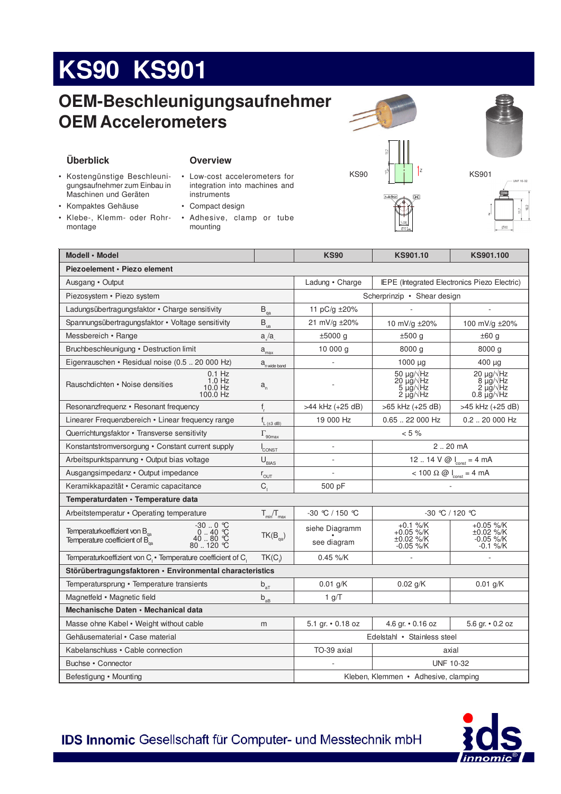# **KS90 KS901**

### OEM-Beschleunigungsaufnehmer **OEM Accelerometers**

#### Überblick

- · Kostengünstige Beschleunigungsaufnehmer zum Einbau in Maschinen und Geräten
- Kompaktes Gehäuse
- · Klebe-, Klemm- oder Rohrmontage

#### **Overview**

- Low-cost accelerometers for integration into machines and instruments
- Compact design
- · Adhesive, clamp or tube mounting







| Modell · Model                                                                                                         |                                                 | <b>KS90</b>                          | KS901.10                                          | KS901.100                                                                  |  |
|------------------------------------------------------------------------------------------------------------------------|-------------------------------------------------|--------------------------------------|---------------------------------------------------|----------------------------------------------------------------------------|--|
| Piezoelement • Piezo element                                                                                           |                                                 |                                      |                                                   |                                                                            |  |
| Ausgang • Output                                                                                                       |                                                 | Ladung · Charge                      | IEPE (Integrated Electronics Piezo Electric)      |                                                                            |  |
| Piezosystem • Piezo system                                                                                             |                                                 | Scherprinzip • Shear design          |                                                   |                                                                            |  |
| Ladungsübertragungsfaktor • Charge sensitivity                                                                         | $\mathsf{B}_{\scriptscriptstyle{\mathsf{qa}}}$  | 11 pC/g ±20%                         |                                                   |                                                                            |  |
| Spannungsübertragungsfaktor • Voltage sensitivity                                                                      | $B_{\rm{ua}}$                                   | 21 mV/g ±20%                         | 10 mV/g ±20%                                      | 100 mV/g ±20%                                                              |  |
| Messbereich • Range                                                                                                    | a/a                                             | $±5000$ g                            | ±500 g                                            | ±60 g                                                                      |  |
| Bruchbeschleunigung • Destruction limit                                                                                | $a_{\text{max}}$                                | 10000 g                              | 8000 g                                            | 8000q                                                                      |  |
| Eigenrauschen • Residual noise (0.5  20 000 Hz)                                                                        | a <sub>n wide band</sub>                        |                                      | 1000 µg                                           | 400 µg                                                                     |  |
| $0.1$ Hz<br>$1.0$ Hz<br>Rauschdichten • Noise densities<br>10.0 Hz<br>100.0 Hz                                         | $a_{n}$                                         |                                      | 50 μg/ Hz<br>20 μg/ Hz<br>5 μğ/√Hz<br>2 μg/√Hz    | $20 \mu g / \sqrt{Hz}$<br>8 $\mu$ g/ $\sqrt{Hz}$<br>z µğ/√Hz<br>0.8 μg/√Hz |  |
| Resonanzfrequenz • Resonant frequency                                                                                  | $f_r$                                           | >44 kHz (+25 dB)                     | >65 kHz (+25 dB)                                  | >45 kHz (+25 dB)                                                           |  |
| Linearer Frequenzbereich • Linear frequency range                                                                      | $f_{L(\pm 3 \text{ dB})}$                       | 19 000 Hz                            | 0.65  22 000 Hz                                   | $0.2$ 20 000 Hz                                                            |  |
| Querrichtungsfaktor • Transverse sensitivity<br>$\Gamma_{\rm 90max}$                                                   |                                                 | $< 5 \%$                             |                                                   |                                                                            |  |
| Konstantstromversorgung · Constant current supply                                                                      | CONST                                           |                                      | 2.20 mA                                           |                                                                            |  |
| Arbeitspunktspannung · Output bias voltage                                                                             | $U_{BAS}$                                       |                                      | 12  14 $V @$ $I_{const} = 4 mA$                   |                                                                            |  |
| Ausgangsimpedanz • Output impedance                                                                                    | $r_{\text{OUT}}$                                |                                      | $<$ 100 $\Omega$ @ $I_{\text{const}}$ = 4 mA      |                                                                            |  |
| $C_{1}$<br>Keramikkapazität • Ceramic capacitance                                                                      |                                                 | 500 pF                               |                                                   |                                                                            |  |
| Temperaturdaten · Temperature data                                                                                     |                                                 |                                      |                                                   |                                                                            |  |
| Arbeitstemperatur • Operating temperature                                                                              | $T_{min}/T_{max}$                               | -30 ℃ / 150 ℃                        | $-30$ °C / 120 °C                                 |                                                                            |  |
| $-300$ °C<br>040 °C<br>40 80 °C<br>80 120 °C<br>Temperaturkoeffizient von B<br>Temperature coefficient of $B_{\alpha}$ | $TK(B_{qa})$                                    | siehe Diagramm<br>see diagram        | $+0.1$ %/K<br>+0.05 %/K<br>±0.02 %/K<br>-0.05 %/K | +0.05 %/K<br>±0.02 %/K<br>-0.05 %/K<br>$-0.1$ %/K                          |  |
| Temperaturkoeffizient von C <sub>1</sub> · Temperature coefficient of C <sub>1</sub>                                   | $TK(C_i)$                                       | $0.45 \%$ /K                         |                                                   |                                                                            |  |
| Störübertragungsfaktoren · Environmental characteristics                                                               |                                                 |                                      |                                                   |                                                                            |  |
| Temperatursprung • Temperature transients                                                                              | $b_{aT}$                                        | $0.01$ g/K                           | $0.02$ g/K                                        | $0.01$ g/K                                                                 |  |
| Magnetfeld • Magnetic field                                                                                            | $\mathsf{b}_{\mathsf{a}\underline{\mathsf{B}}}$ | 1 g/T                                |                                                   |                                                                            |  |
| Mechanische Daten • Mechanical data                                                                                    |                                                 |                                      |                                                   |                                                                            |  |
| Masse ohne Kabel • Weight without cable<br>m                                                                           |                                                 | 5.1 gr. • 0.18 oz                    | 4.6 gr. • 0.16 oz                                 | 5.6 gr. • 0.2 oz                                                           |  |
| Gehäusematerial • Case material                                                                                        |                                                 | Edelstahl • Stainless steel          |                                                   |                                                                            |  |
| Kabelanschluss · Cable connection                                                                                      |                                                 | TO-39 axial                          | axial                                             |                                                                            |  |
| Buchse • Connector                                                                                                     |                                                 |                                      | <b>UNF 10-32</b>                                  |                                                                            |  |
| Befestigung • Mounting                                                                                                 |                                                 | Kleben, Klemmen • Adhesive, clamping |                                                   |                                                                            |  |

IDS Innomic Gesellschaft für Computer- und Messtechnik mbH